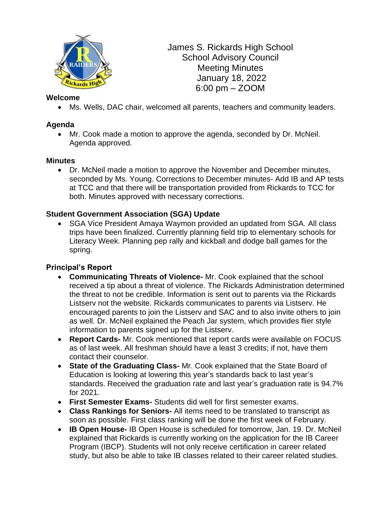

James S. Rickards High School School Advisory Council Meeting Minutes January 18, 2022 6:00 pm – ZOOM

#### **Welcome**

• Ms. Wells, DAC chair, welcomed all parents, teachers and community leaders.

## **Agenda**

• Mr. Cook made a motion to approve the agenda, seconded by Dr. McNeil. Agenda approved.

### **Minutes**

• Dr. McNeil made a motion to approve the November and December minutes, seconded by Ms. Young. Corrections to December minutes- Add IB and AP tests at TCC and that there will be transportation provided from Rickards to TCC for both. Minutes approved with necessary corrections.

## **Student Government Association (SGA) Update**

• SGA Vice President Amaya Waymon provided an updated from SGA. All class trips have been finalized. Currently planning field trip to elementary schools for Literacy Week. Planning pep rally and kickball and dodge ball games for the spring.

### **Principal's Report**

- **Communicating Threats of Violence-** Mr. Cook explained that the school received a tip about a threat of violence. The Rickards Administration determined the threat to not be credible. Information is sent out to parents via the Rickards Listserv not the website. Rickards communicates to parents via Listserv. He encouraged parents to join the Listserv and SAC and to also invite others to join as well. Dr. McNeil explained the Peach Jar system, which provides flier style information to parents signed up for the Listserv.
- **Report Cards-** Mr. Cook mentioned that report cards were available on FOCUS as of last week. All freshman should have a least 3 credits; if not, have them contact their counselor.
- **State of the Graduating Class-** Mr. Cook explained that the State Board of Education is looking at lowering this year's standards back to last year's standards. Received the graduation rate and last year's graduation rate is 94.7% for 2021.
- **First Semester Exams-** Students did well for first semester exams.
- **Class Rankings for Seniors-** All items need to be translated to transcript as soon as possible. First class ranking will be done the first week of February.
- **IB Open House-** IB Open House is scheduled for tomorrow, Jan. 19. Dr. McNeil explained that Rickards is currently working on the application for the IB Career Program (IBCP). Students will not only receive certification in career related study, but also be able to take IB classes related to their career related studies.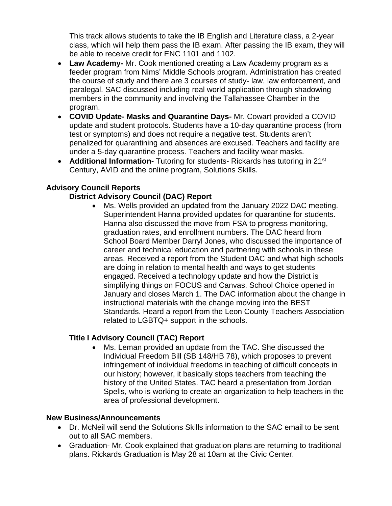This track allows students to take the IB English and Literature class, a 2-year class, which will help them pass the IB exam. After passing the IB exam, they will be able to receive credit for ENC 1101 and 1102.

- **Law Academy-** Mr. Cook mentioned creating a Law Academy program as a feeder program from Nims' Middle Schools program. Administration has created the course of study and there are 3 courses of study- law, law enforcement, and paralegal. SAC discussed including real world application through shadowing members in the community and involving the Tallahassee Chamber in the program.
- **COVID Update- Masks and Quarantine Days-** Mr. Cowart provided a COVID update and student protocols. Students have a 10-day quarantine process (from test or symptoms) and does not require a negative test. Students aren't penalized for quarantining and absences are excused. Teachers and facility are under a 5-day quarantine process. Teachers and facility wear masks.
- **Additional Information-** Tutoring for students- Rickards has tutoring in 21<sup>st</sup> Century, AVID and the online program, Solutions Skills.

# **Advisory Council Reports**

## **District Advisory Council (DAC) Report**

• Ms. Wells provided an updated from the January 2022 DAC meeting. Superintendent Hanna provided updates for quarantine for students. Hanna also discussed the move from FSA to progress monitoring, graduation rates, and enrollment numbers. The DAC heard from School Board Member Darryl Jones, who discussed the importance of career and technical education and partnering with schools in these areas. Received a report from the Student DAC and what high schools are doing in relation to mental health and ways to get students engaged. Received a technology update and how the District is simplifying things on FOCUS and Canvas. School Choice opened in January and closes March 1. The DAC information about the change in instructional materials with the change moving into the BEST Standards. Heard a report from the Leon County Teachers Association related to LGBTQ+ support in the schools.

### **Title I Advisory Council (TAC) Report**

• Ms. Leman provided an update from the TAC. She discussed the Individual Freedom Bill (SB 148/HB 78), which proposes to prevent infringement of individual freedoms in teaching of difficult concepts in our history; however, it basically stops teachers from teaching the history of the United States. TAC heard a presentation from Jordan Spells, who is working to create an organization to help teachers in the area of professional development.

### **New Business/Announcements**

- Dr. McNeil will send the Solutions Skills information to the SAC email to be sent out to all SAC members.
- Graduation- Mr. Cook explained that graduation plans are returning to traditional plans. Rickards Graduation is May 28 at 10am at the Civic Center.